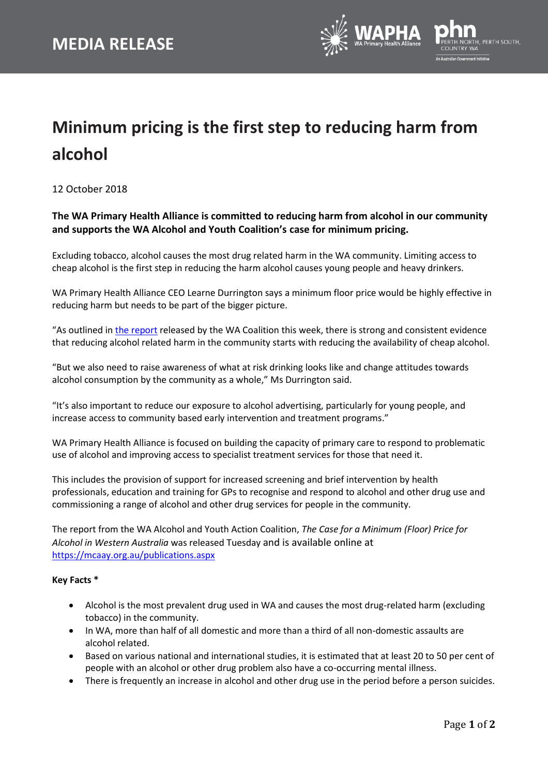

## **Minimum pricing is the first step to reducing harm from alcohol**

12 October 2018

## **The WA Primary Health Alliance is committed to reducing harm from alcohol in our community and supports the WA Alcohol and Youth Coalition's case for minimum pricing.**

Excluding tobacco, alcohol causes the most drug related harm in the WA community. Limiting access to cheap alcohol is the first step in reducing the harm alcohol causes young people and heavy drinkers.

WA Primary Health Alliance CEO Learne Durrington says a minimum floor price would be highly effective in reducing harm but needs to be part of the bigger picture.

"As outlined in the [report](https://mcaay.org.au/publications.aspx) released by the WA Coalition this week, there is strong and consistent evidence that reducing alcohol related harm in the community starts with reducing the availability of cheap alcohol.

"But we also need to raise awareness of what at risk drinking looks like and change attitudes towards alcohol consumption by the community as a whole," Ms Durrington said.

"It's also important to reduce our exposure to alcohol advertising, particularly for young people, and increase access to community based early intervention and treatment programs."

WA Primary Health Alliance is focused on building the capacity of primary care to respond to problematic use of alcohol and improving access to specialist treatment services for those that need it.

This includes the provision of support for increased screening and brief intervention by health professionals, education and training for GPs to recognise and respond to alcohol and other drug use and commissioning a range of alcohol and other drug services for people in the community.

The report from the WA Alcohol and Youth Action Coalition, *The Case for a Minimum (Floor) Price for Alcohol in Western Australia* was released Tuesday and is available online at <https://mcaay.org.au/publications.aspx>

## **Key Facts \***

- Alcohol is the most prevalent drug used in WA and causes the most drug-related harm (excluding tobacco) in the community.
- In WA, more than half of all domestic and more than a third of all non-domestic assaults are alcohol related.
- Based on various national and international studies, it is estimated that at least 20 to 50 per cent of people with an alcohol or other drug problem also have a co-occurring mental illness.
- There is frequently an increase in alcohol and other drug use in the period before a person suicides.